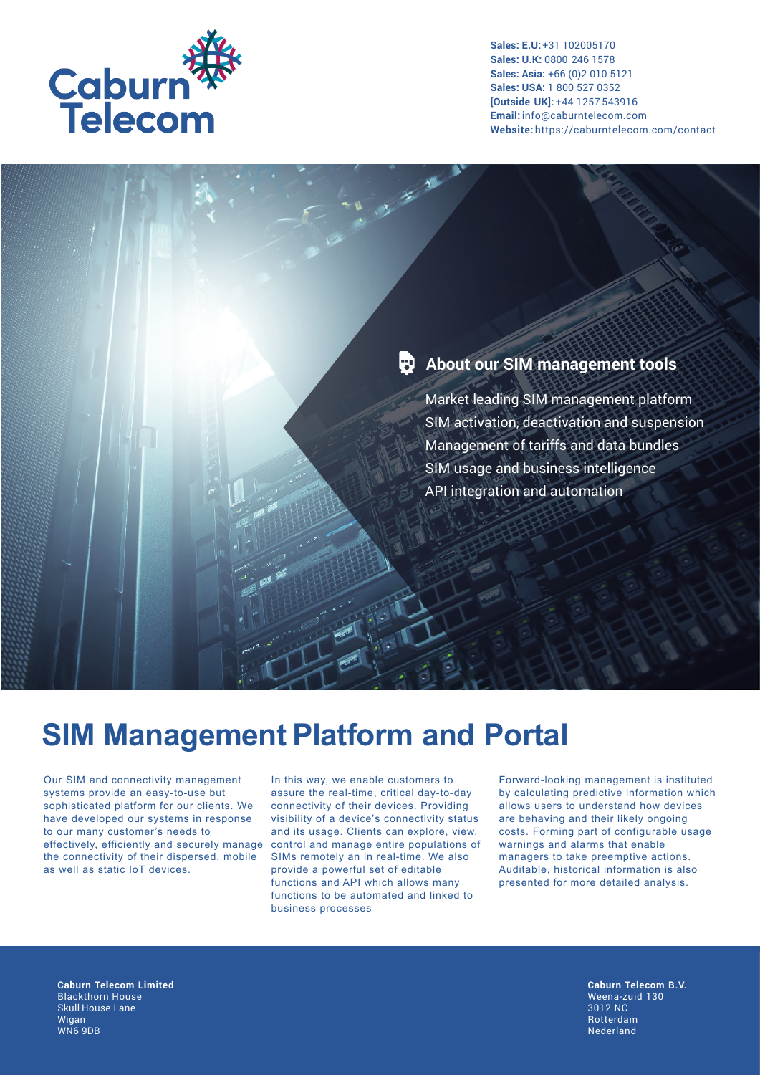

## **About our SIM management tools**

**ANTI** 

Market leading SIM management platform SIM activation, deactivation and suspension Management of tariffs and data bundles SIM usage and business intelligence API integration and automation

# **SIM Management Platform and Portal**

Our SIM and connectivity management systems provide an easy-to-use but sophisticated platform for our clients. We have developed our systems in response to our many customer's needs to effectively, efficiently and securely manage the connectivity of their dispersed, mobile as well as static IoT devices.

In this way, we enable customers to assure the real-time, critical day-to-day connectivity of their devices. Providing visibility of a device's connectivity status and its usage. Clients can explore, view, control and manage entire populations of SIMs remotely an in real-time. We also provide a powerful set of editable functions and API which allows many functions to be automated and linked to business processes

Forward-looking management is instituted by calculating predictive information which allows users to understand how devices are behaving and their likely ongoing costs. Forming part of configurable usage warnings and alarms that enable managers to take preemptive actions. Auditable, historical information is also presented for more detailed analysis.

**Caburn Telecom Limited** Blackthorn House Skull House Lane Wigan WN6 9DB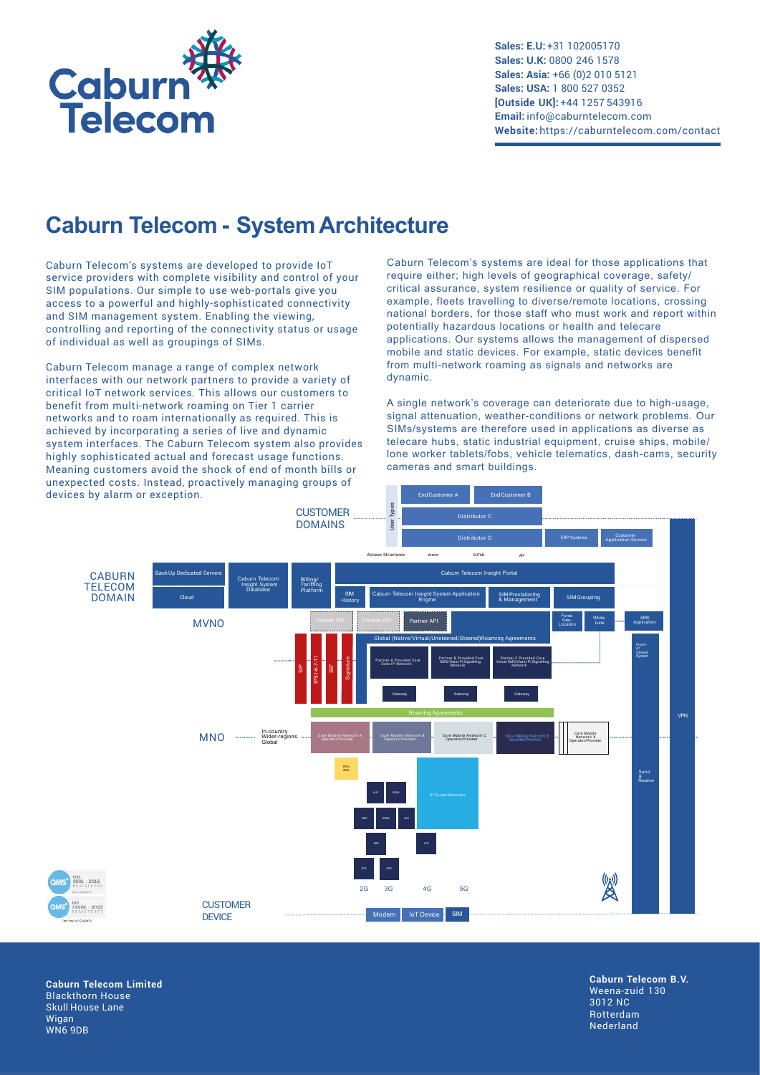

## **Caburn Telecom - System Architecture**

Caburn Telecom's systems are developed to provide IoT service providers with complete visibility and control of your SIM populations. Our simple to use web-portals give you access to a powerful and highly-sophisticated connectivity and SIM management system. Enabling the viewing, controlling and reporting of the connectivity status or usage of individual as well as groupings of SIMs.

Caburn Telecom manage a range of complex network interfaces with our network partners to provide a variety of critical IoT network services. This allows our customers to benefit from multi-network roaming on Tier 1 carrier networks and to roam internationally as required. This is achieved by incorporating a series of live and dynamic system interfaces. The Caburn Telecom system also provides highly sophisticated actual and forecast usage functions. Meaning customers avoid the shock of end of month bills or unexpected costs. Instead, proactively managing groups of devices by alarm or exception.

Caburn Telecom's systems are ideal for those applications that require either; high levels of geographical coverage, safety/ critical assurance, system resilience or quality of service. For example, fleets travelling to diverse/remote locations, crossing national borders, for those staff who must work and report within potentially hazardous locations or health and telecare applications. Our systems allows the management of dispersed mobile and static devices. For example, static devices benefit from multi-network roaming as signals and networks are dynamic.

A single network's coverage can deteriorate due to high-usage, signal attenuation, weather-conditions or network problems. Our SIMs/systems are therefore used in applications as diverse as telecare hubs, static industrial equipment, cruise ships, mobile/ lone worker tablets/fobs, vehicle telematics, dash-cams, security cameras and smart buildings.



**Caburn Telecom Limited** Blackthorn House Skull House Lane Wigan WN6 9DB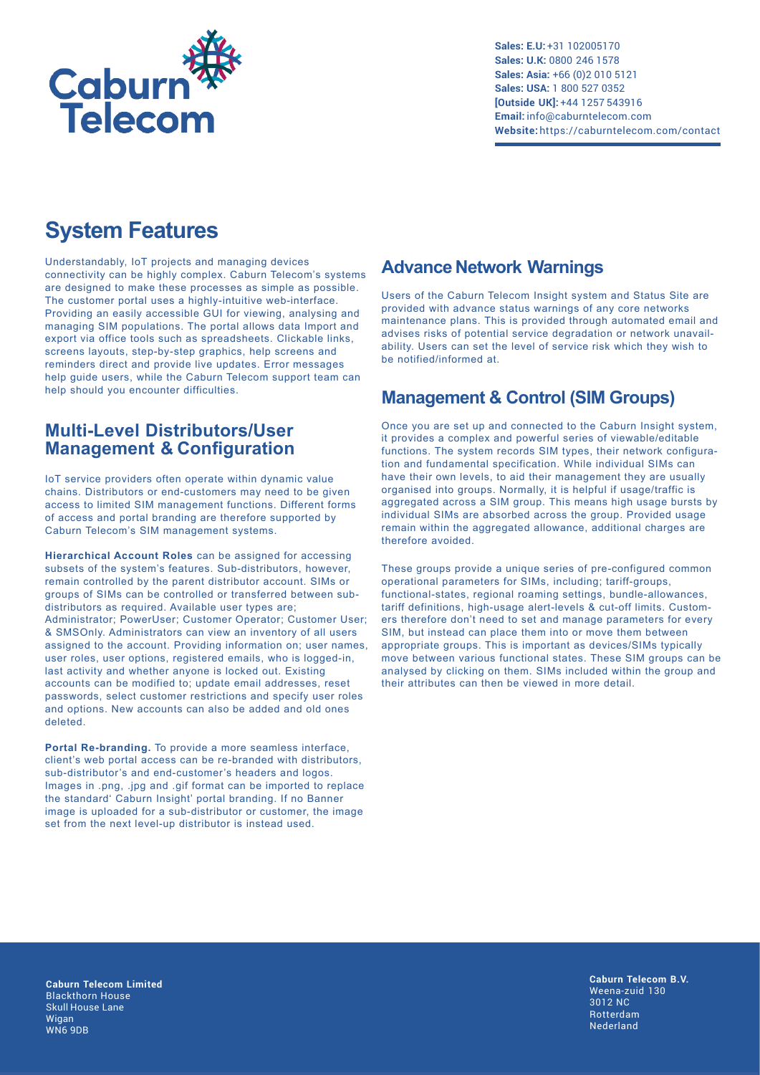

## **System Features**

Understandably, IoT projects and managing devices connectivity can be highly complex. Caburn Telecom's systems are designed to make these processes as simple as possible. The customer portal uses a highly-intuitive web-interface. Providing an easily accessible GUI for viewing, analysing and managing SIM populations. The portal allows data Import and export via office tools such as spreadsheets. Clickable links, screens layouts, step-by-step graphics, help screens and reminders direct and provide live updates. Error messages help quide users, while the Caburn Telecom support team can help should you encounter difficulties.

#### **Multi-Level Distributors/User Management & Configuration**

IoT service providers often operate within dynamic value chains. Distributors or end-customers may need to be given access to limited SIM management functions. Different forms of access and portal branding are therefore supported by Caburn Telecom's SIM management systems.

**Hierarchical Account Roles** can be assigned for accessing subsets of the system's features. Sub-distributors, however, remain controlled by the parent distributor account. SIMs or groups of SIMs can be controlled or transferred between subdistributors as required. Available user types are; Administrator; PowerUser; Customer Operator; Customer User; & SMSOnly. Administrators can view an inventory of all users assigned to the account. Providing information on; user names, user roles, user options, registered emails, who is logged-in, last activity and whether anyone is locked out. Existing accounts can be modified to; update email addresses, reset passwords, select customer restrictions and specify user roles and options. New accounts can also be added and old ones deleted.

**Portal Re-branding.** To provide a more seamless interface, client's web portal access can be re-branded with distributors, sub-distributor's and end-customer's headers and logos. Images in .png, .jpg and .gif format can be imported to replace the standard' Caburn Insight' portal branding. If no Banner image is uploaded for a sub-distributor or customer, the image set from the next level-up distributor is instead used.

### **Advance Network Warnings**

Users of the Caburn Telecom Insight system and Status Site are provided with advance status warnings of any core networks maintenance plans. This is provided through automated email and advises risks of potential service degradation or network unavailability. Users can set the level of service risk which they wish to be notified/informed at.

### **Management & Control (SIM Groups)**

Once you are set up and connected to the Caburn Insight system, it provides a complex and powerful series of viewable/editable functions. The system records SIM types, their network configuration and fundamental specification. While individual SIMs can have their own levels, to aid their management they are usually organised into groups. Normally, it is helpful if usage/traffic is aggregated across a SIM group. This means high usage bursts by individual SIMs are absorbed across the group. Provided usage remain within the aggregated allowance, additional charges are therefore avoided.

These groups provide a unique series of pre-configured common operational parameters for SIMs, including; tariff-groups, functional-states, regional roaming settings, bundle-allowances, tariff definitions, high-usage alert-levels & cut-off limits. Customers therefore don't need to set and manage parameters for every SIM, but instead can place them into or move them between appropriate groups. This is important as devices/SIMs typically move between various functional states. These SIM groups can be analysed by clicking on them. SIMs included within the group and their attributes can then be viewed in more detail.

**Caburn Telecom Limited** Blackthorn House Skull House Lane Wigan WN6 9DB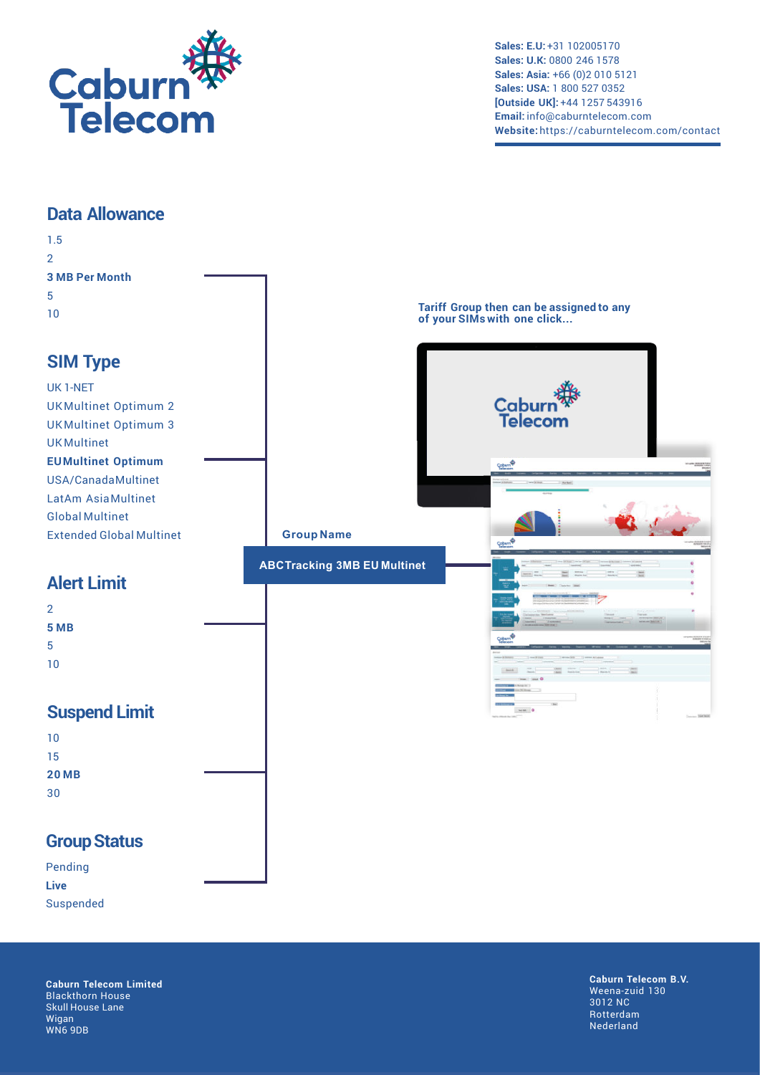

#### **Data Allowance**

| 1.5                             |                                    |                                                                         |
|---------------------------------|------------------------------------|-------------------------------------------------------------------------|
| $\overline{2}$                  |                                    |                                                                         |
| <b>3 MB Per Month</b>           |                                    |                                                                         |
| 5                               |                                    |                                                                         |
| 10                              |                                    | Tariff Group then can be assigned to any<br>of your SIMs with one click |
|                                 |                                    |                                                                         |
| <b>SIM Type</b>                 |                                    |                                                                         |
| UK1-NET                         |                                    |                                                                         |
| <b>UKMultinet Optimum 2</b>     |                                    | Caburn`<br>Telecon                                                      |
| <b>UKMultinet Optimum 3</b>     |                                    |                                                                         |
| <b>UKMultinet</b>               |                                    |                                                                         |
| <b>EUMultinet Optimum</b>       |                                    | <b>Cobum<sup>®</sup></b>                                                |
| USA/CanadaMultinet              |                                    |                                                                         |
| LatAm AsiaMultinet              |                                    |                                                                         |
| <b>Global Multinet</b>          |                                    |                                                                         |
| <b>Extended Global Multinet</b> | <b>Group Name</b>                  |                                                                         |
|                                 |                                    |                                                                         |
|                                 | <b>ABCTracking 3MB EU Multinet</b> |                                                                         |
| <b>Alert Limit</b>              |                                    |                                                                         |
| $\overline{2}$                  |                                    |                                                                         |
| 5 MB                            |                                    |                                                                         |
| 5                               |                                    |                                                                         |
| 10                              |                                    |                                                                         |
|                                 |                                    |                                                                         |
|                                 |                                    |                                                                         |
| <b>Suspend Limit</b>            |                                    |                                                                         |
| 10                              |                                    |                                                                         |
| 15                              |                                    |                                                                         |
| <b>20 MB</b>                    |                                    |                                                                         |
| 30                              |                                    |                                                                         |
|                                 |                                    |                                                                         |
| <b>Group Status</b>             |                                    |                                                                         |
| Pending                         |                                    |                                                                         |

Suspended

**Live**

**Caburn Telecom Limited** Blackthorn House Skull House Lane Wigan WN6 9DB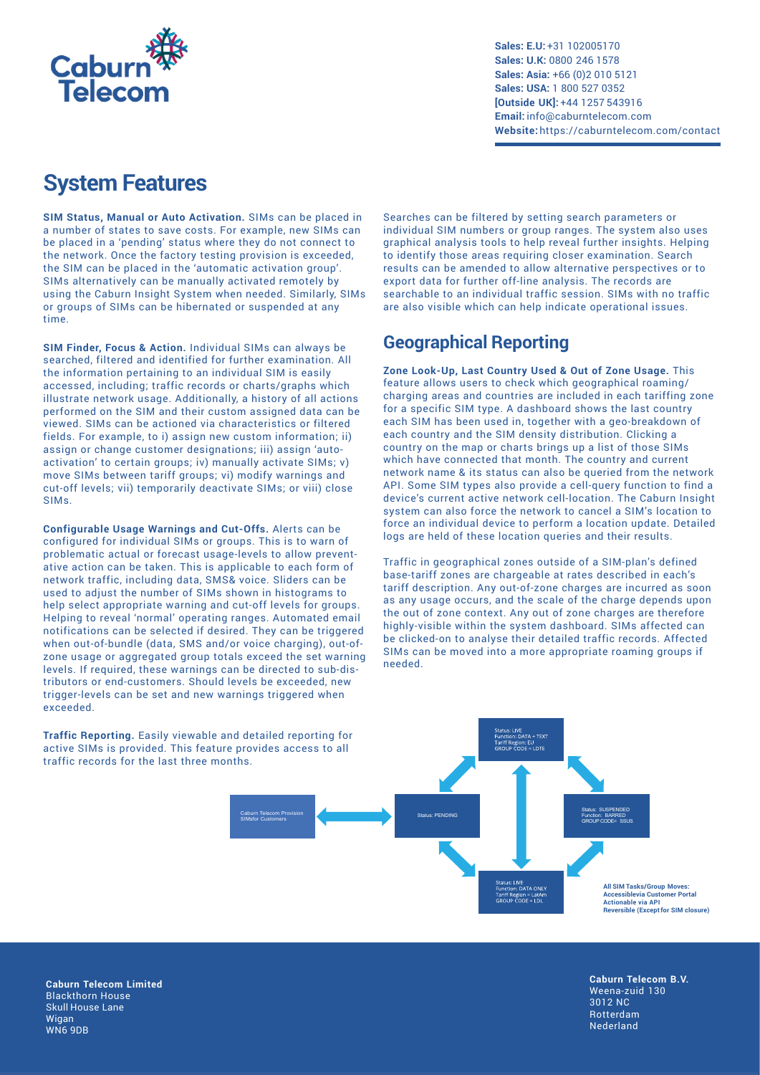

## **System Features**

**SIM Status, Manual or Auto Activation.** SIMs can be placed in a number of states to save costs. For example, new SIMs can be placed in a 'pending' status where they do not connect to the network. Once the factory testing provision is exceeded, the SIM can be placed in the 'automatic activation group'. SIMs alternatively can be manually activated remotely by using the Caburn Insight System when needed. Similarly, SIMs or groups of SIMs can be hibernated or suspended at any time.

**SIM Finder, Focus & Action.** Individual SIMs can always be searched, filtered and identified for further examination. All the information pertaining to an individual SIM is easily accessed, including; traffic records or charts/graphs which illustrate network usage. Additionally, a history of all actions performed on the SIM and their custom assigned data can be viewed. SIMs can be actioned via characteristics or filtered fields. For example, to i) assign new custom information; ii) assign or change customer designations; iii) assign 'autoactivation' to certain groups; iv) manually activate SIMs; v) move SIMs between tariff groups; vi) modify warnings and cut-off levels; vii) temporarily deactivate SIMs; or viii) close SIMs.

**Configurable Usage Warnings and Cut-Offs.** Alerts can be configured for individual SIMs or groups. This is to warn of problematic actual or forecast usage-levels to allow preventative action can be taken. This is applicable to each form of network traffic, including data, SMS& voice. Sliders can be used to adjust the number of SIMs shown in histograms to help select appropriate warning and cut-off levels for groups. Helping to reveal 'normal' operating ranges. Automated email notifications can be selected if desired. They can be triggered when out-of-bundle (data, SMS and/or voice charging), out-ofzone usage or aggregated group totals exceed the set warning levels. If required, these warnings can be directed to sub-distributors or end-customers. Should levels be exceeded, new trigger-levels can be set and new warnings triggered when exceeded.

**Traffic Reporting.** Easily viewable and detailed reporting for active SIMs is provided. This feature provides access to all traffic records for the last three months.

Searches can be filtered by setting search parameters or individual SIM numbers or group ranges. The system also uses graphical analysis tools to help reveal further insights. Helping to identify those areas requiring closer examination. Search results can be amended to allow alternative perspectives or to export data for further off-line analysis. The records are searchable to an individual traffic session. SIMs with no traffic are also visible which can help indicate operational issues.

### **Geographical Reporting**

**Zone Look-Up, Last Country Used & Out of Zone Usage.** This feature allows users to check which geographical roaming/ charging areas and countries are included in each tariffing zone for a specific SIM type. A dashboard shows the last country each SIM has been used in, together with a geo-breakdown of each country and the SIM density distribution. Clicking a country on the map or charts brings up a list of those SIMs which have connected that month. The country and current network name & its status can also be queried from the network API. Some SIM types also provide a cell-query function to find a device's current active network cell-location. The Caburn Insight system can also force the network to cancel a SIM's location to force an individual device to perform a location update. Detailed logs are held of these location queries and their results.

Traffic in geographical zones outside of a SIM-plan's defined base-tariff zones are chargeable at rates described in each's tariff description. Any out-of-zone charges are incurred as soon as any usage occurs, and the scale of the charge depends upon the out of zone context. Any out of zone charges are therefore highly-visible within the system dashboard. SIMs affected can be clicked-on to analyse their detailed traffic records. Affected SIMs can be moved into a more appropriate roaming groups if needed.



**Caburn Telecom Limited** Blackthorn House Skull House Lane Wigan WN6 9DB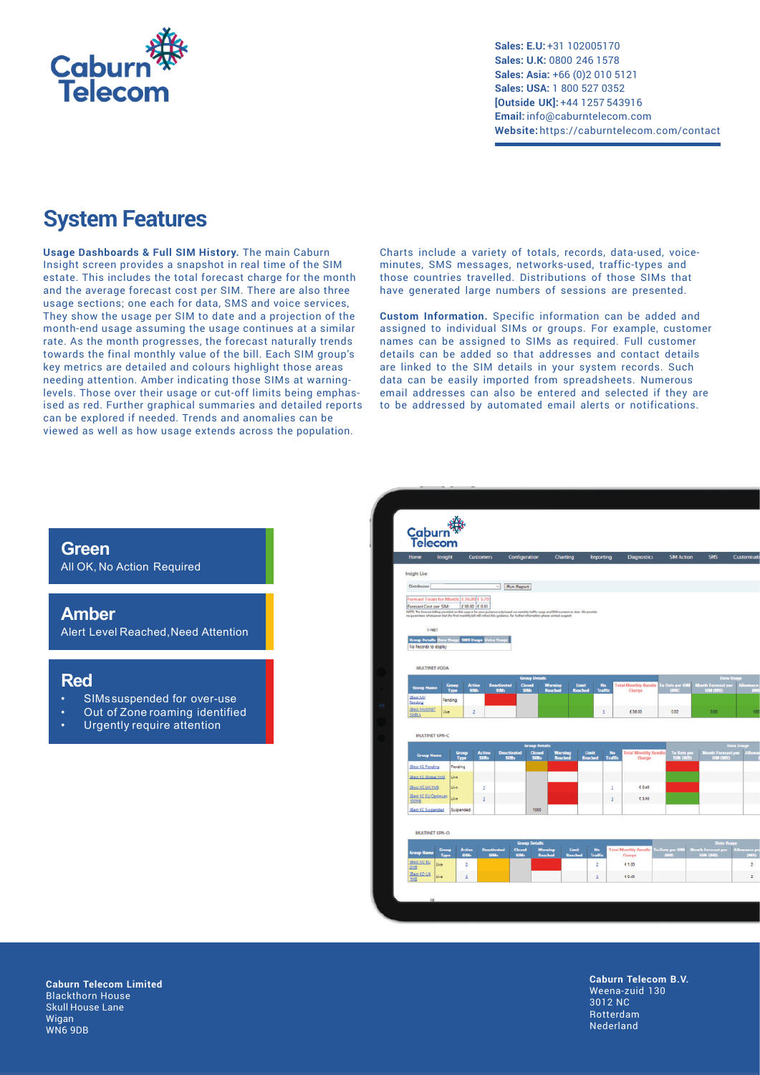

## **System Features**

**Usage Dashboards & Full SIM History.** The main Caburn Insight screen provides a snapshot in real time of the SIM estate. This includes the total forecast charge for the month and the average forecast cost per SIM. There are also three usage sections; one each for data, SMS and voice services, They show the usage per SIM to date and a projection of the month-end usage assuming the usage continues at a similar rate. As the month progresses, the forecast naturally trends towards the final monthly value of the bill. Each SIM group's key metrics are detailed and colours highlight those areas needing attention. Amber indicating those SIMs at warninglevels. Those over their usage or cut-off limits being emphasised as red. Further graphical summaries and detailed reports can be explored if needed. Trends and anomalies can be viewed as well as how usage extends across the population.

Charts include a variety of totals, records, data-used, voiceminutes, SMS messages, networks-used, traffic-types and those countries travelled. Distributions of those SIMs that have generated large numbers of sessions are presented.

**Custom Information.** Specific information can be added and assigned to individual SIMs or groups. For example, customer names can be assigned to SIMs as required. Full customer details can be added so that addresses and contact details are linked to the SIM details in your system records. Such data can be easily imported from spreadsheets. Numerous email addresses can also be entered and selected if they are to be addressed by automated email alerts or notifications.

#### **Green**

All OK, No Action Required

#### **Amber**

Alert Level Reached,Need Attention

#### **Red**

- SIMs suspended for over-use
- Out of Zone roaming identified
- Urgently require attention



**Caburn Telecom Limited** Blackthorn House Skull House Lane Wigan WN6 9DB